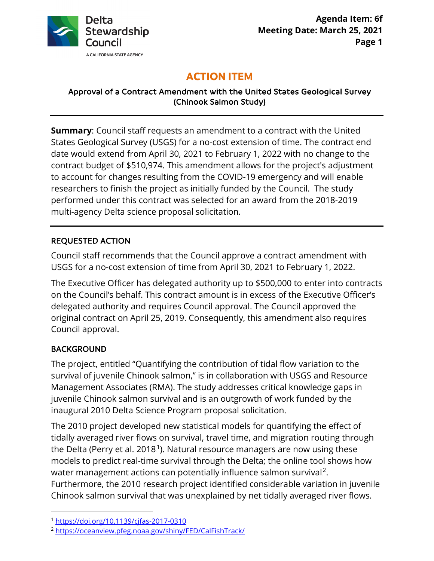

# **ACTION ITEM**

#### Approval of a Contract Amendment with the United States Geological Survey (Chinook Salmon Study)

 date would extend from April 30, 2021 to February 1, 2022 with no change to the **Summary**: Council staff requests an amendment to a contract with the United States Geological Survey (USGS) for a no-cost extension of time. The contract end contract budget of \$510,974. This amendment allows for the project's adjustment to account for changes resulting from the COVID-19 emergency and will enable researchers to finish the project as initially funded by the Council. The study performed under this contract was selected for an award from the 2018-2019 multi-agency Delta science proposal solicitation.

### REQUESTED ACTION

Council staff recommends that the Council approve a contract amendment with USGS for a no-cost extension of time from April 30, 2021 to February 1, 2022.

 on the Council's behalf. This contract amount is in excess of the Executive Officer's The Executive Officer has delegated authority up to \$500,000 to enter into contracts delegated authority and requires Council approval. The Council approved the original contract on April 25, 2019. Consequently, this amendment also requires Council approval.

# BACKGROUND

 The project, entitled "Quantifying the contribution of tidal flow variation to the survival of juvenile Chinook salmon," is in collaboration with USGS and Resource inaugural 2010 Delta Science Program proposal solicitation. Management Associates (RMA). The study addresses critical knowledge gaps in juvenile Chinook salmon survival and is an outgrowth of work funded by the

 models to predict real-time survival through the Delta; the online tool shows how Furthermore, the 2010 research project identified considerable variation in juvenile The 2010 project developed new statistical models for quantifying the effect of tidally averaged river flows on survival, travel time, and migration routing through the Delta (Perry et al. 2018.<sup>1</sup>). Natural resource managers are now using these water management actions can potentially influence salmon survival<sup>2</sup>. Chinook salmon survival that was unexplained by net tidally averaged river flows.

<sup>1</sup> <https://doi.org/10.1139/cjfas-2017-0310>

<sup>2</sup> [https://oceanview.pfeg.noaa.gov/shiny/FED/CalFishTrack/](https://oceanview.pfeg.noaa.gov/shiny/FED/CalFishTrack)